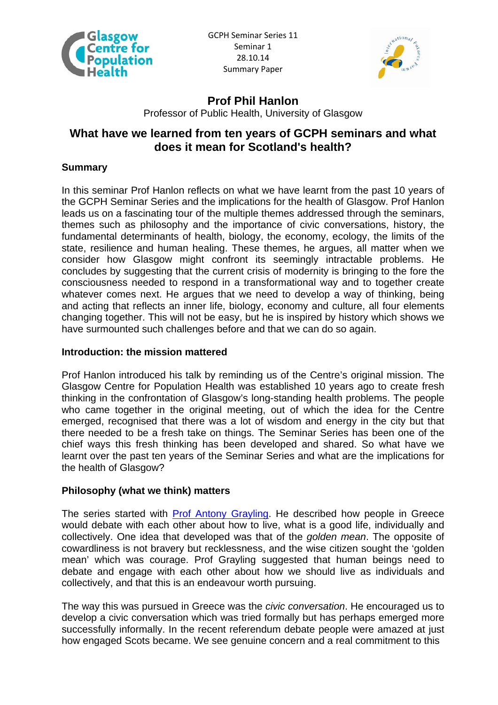



# **Prof Phil Hanlon**

Professor of Public Health, University of Glasgow

# **What have we learned from ten years of GCPH seminars and what does it mean for Scotland's health?**

# **Summary**

In this seminar Prof Hanlon reflects on what we have learnt from the past 10 years of the GCPH Seminar Series and the implications for the health of Glasgow. Prof Hanlon leads us on a fascinating tour of the multiple themes addressed through the seminars, themes such as philosophy and the importance of civic conversations, history, the fundamental determinants of health, biology, the economy, ecology, the limits of the state, resilience and human healing. These themes, he argues, all matter when we consider how Glasgow might confront its seemingly intractable problems. He concludes by suggesting that the current crisis of modernity is bringing to the fore the consciousness needed to respond in a transformational way and to together create whatever comes next. He argues that we need to develop a way of thinking, being and acting that reflects an inner life, biology, economy and culture, all four elements changing together. This will not be easy, but he is inspired by history which shows we have surmounted such challenges before and that we can do so again.

## **Introduction: the mission mattered**

Prof Hanlon introduced his talk by reminding us of the Centre's original mission. The Glasgow Centre for Population Health was established 10 years ago to create fresh thinking in the confrontation of Glasgow's long-standing health problems. The people who came together in the original meeting, out of which the idea for the Centre emerged, recognised that there was a lot of wisdom and energy in the city but that there needed to be a fresh take on things. The Seminar Series has been one of the chief ways this fresh thinking has been developed and shared. So what have we learnt over the past ten years of the Seminar Series and what are the implications for the health of Glasgow?

# **Philosophy (what we think) matters**

The series started with [Prof Antony Grayling.](http://www.gcph.co.uk/events/18) He described how people in Greece would debate with each other about how to live, what is a good life, individually and collectively. One idea that developed was that of the *golden mean*. The opposite of cowardliness is not bravery but recklessness, and the wise citizen sought the 'golden mean' which was courage. Prof Grayling suggested that human beings need to debate and engage with each other about how we should live as individuals and collectively, and that this is an endeavour worth pursuing.

The way this was pursued in Greece was the *civic conversation*. He encouraged us to develop a civic conversation which was tried formally but has perhaps emerged more successfully informally. In the recent referendum debate people were amazed at just how engaged Scots became. We see genuine concern and a real commitment to this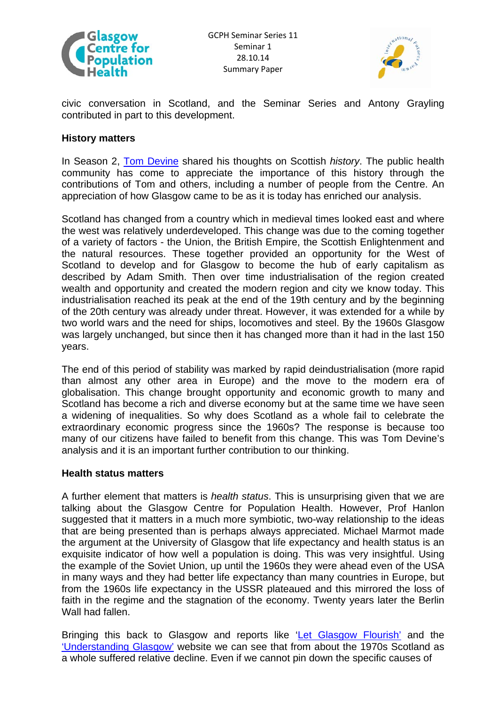



civic conversation in Scotland, and the Seminar Series and Antony Grayling contributed in part to this development.

### **History matters**

In Season 2, [Tom Devine](http://www.gcph.co.uk/events/25) shared his thoughts on Scottish *history*. The public health community has come to appreciate the importance of this history through the contributions of Tom and others, including a number of people from the Centre. An appreciation of how Glasgow came to be as it is today has enriched our analysis.

Scotland has changed from a country which in medieval times looked east and where the west was relatively underdeveloped. This change was due to the coming together of a variety of factors - the Union, the British Empire, the Scottish Enlightenment and the natural resources. These together provided an opportunity for the West of Scotland to develop and for Glasgow to become the hub of early capitalism as described by Adam Smith. Then over time industrialisation of the region created wealth and opportunity and created the modern region and city we know today. This industrialisation reached its peak at the end of the 19th century and by the beginning of the 20th century was already under threat. However, it was extended for a while by two world wars and the need for ships, locomotives and steel. By the 1960s Glasgow was largely unchanged, but since then it has changed more than it had in the last 150 years.

The end of this period of stability was marked by rapid deindustrialisation (more rapid than almost any other area in Europe) and the move to the modern era of globalisation. This change brought opportunity and economic growth to many and Scotland has become a rich and diverse economy but at the same time we have seen a widening of inequalities. So why does Scotland as a whole fail to celebrate the extraordinary economic progress since the 1960s? The response is because too many of our citizens have failed to benefit from this change. This was Tom Devine's analysis and it is an important further contribution to our thinking.

#### **Health status matters**

A further element that matters is *health status*. This is unsurprising given that we are talking about the Glasgow Centre for Population Health. However, Prof Hanlon suggested that it matters in a much more symbiotic, two-way relationship to the ideas that are being presented than is perhaps always appreciated. Michael Marmot made the argument at the University of Glasgow that life expectancy and health status is an exquisite indicator of how well a population is doing. This was very insightful. Using the example of the Soviet Union, up until the 1960s they were ahead even of the USA in many ways and they had better life expectancy than many countries in Europe, but from the 1960s life expectancy in the USSR plateaued and this mirrored the loss of faith in the regime and the stagnation of the economy. Twenty years later the Berlin Wall had fallen.

Bringing this back to Glasgow and reports like '[Let Glasgow Flourish'](http://www.gcph.co.uk/publications/86_let-glasgow_flourish?&&aq=flourish) and the ['Understanding Glasgow'](http://www.understandingglasgow.com/) website we can see that from about the 1970s Scotland as a whole suffered relative decline. Even if we cannot pin down the specific causes of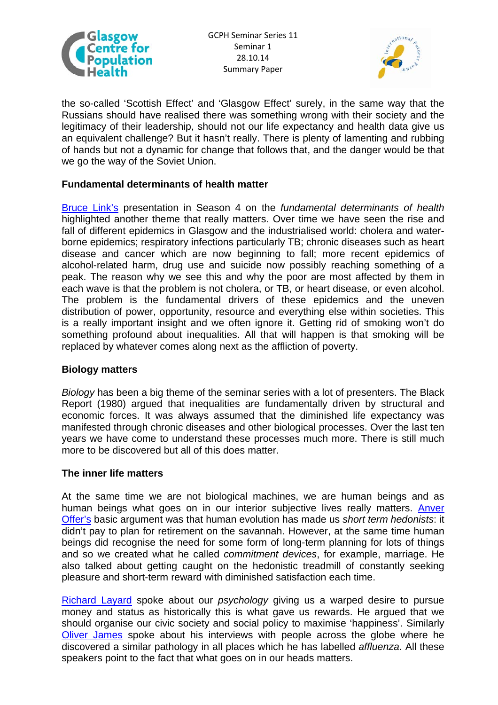



the so-called 'Scottish Effect' and 'Glasgow Effect' surely, in the same way that the Russians should have realised there was something wrong with their society and the legitimacy of their leadership, should not our life expectancy and health data give us an equivalent challenge? But it hasn't really. There is plenty of lamenting and rubbing of hands but not a dynamic for change that follows that, and the danger would be that we go the way of the Soviet Union.

### **Fundamental determinants of health matter**

[Bruce Link's](http://www.gcph.co.uk/events/37) presentation in Season 4 on the *fundamental determinants of health* highlighted another theme that really matters. Over time we have seen the rise and fall of different epidemics in Glasgow and the industrialised world: cholera and waterborne epidemics; respiratory infections particularly TB; chronic diseases such as heart disease and cancer which are now beginning to fall; more recent epidemics of alcohol-related harm, drug use and suicide now possibly reaching something of a peak. The reason why we see this and why the poor are most affected by them in each wave is that the problem is not cholera, or TB, or heart disease, or even alcohol. The problem is the fundamental drivers of these epidemics and the uneven distribution of power, opportunity, resource and everything else within societies. This is a really important insight and we often ignore it. Getting rid of smoking won't do something profound about inequalities. All that will happen is that smoking will be replaced by whatever comes along next as the affliction of poverty.

#### **Biology matters**

*Biology* has been a big theme of the seminar series with a lot of presenters. The Black Report (1980) argued that inequalities are fundamentally driven by structural and economic forces. It was always assumed that the diminished life expectancy was manifested through chronic diseases and other biological processes. Over the last ten years we have come to understand these processes much more. There is still much more to be discovered but all of this does matter.

#### **The inner life matters**

At the same time we are not biological machines, we are human beings and as human beings what goes on in our interior subjective lives really matters. [Anver](http://www.gcph.co.uk/events/42)  [Offer's](http://www.gcph.co.uk/events/42) basic argument was that human evolution has made us *short term hedonists*: it didn't pay to plan for retirement on the savannah. However, at the same time human beings did recognise the need for some form of long-term planning for lots of things and so we created what he called *commitment devices*, for example, marriage. He also talked about getting caught on the hedonistic treadmill of constantly seeking pleasure and short-term reward with diminished satisfaction each time.

[Richard Layard](http://www.gcph.co.uk/events/21) spoke about our *psychology* giving us a warped desire to pursue money and status as historically this is what gave us rewards. He argued that we should organise our civic society and social policy to maximise 'happiness'. Similarly [Oliver James](http://www.gcph.co.uk/events/41) spoke about his interviews with people across the globe where he discovered a similar pathology in all places which he has labelled *affluenza*. All these speakers point to the fact that what goes on in our heads matters.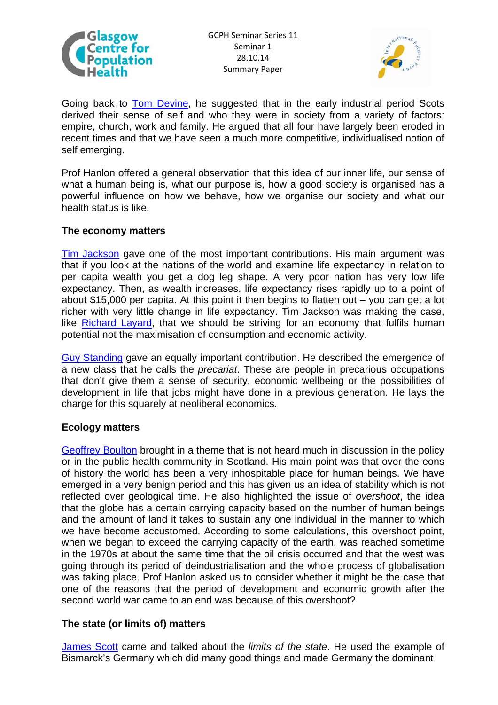



Going back to **Tom Devine**, he suggested that in the early industrial period Scots derived their sense of self and who they were in society from a variety of factors: empire, church, work and family. He argued that all four have largely been eroded in recent times and that we have seen a much more competitive, individualised notion of self emerging.

Prof Hanlon offered a general observation that this idea of our inner life, our sense of what a human being is, what our purpose is, how a good society is organised has a powerful influence on how we behave, how we organise our society and what our health status is like.

#### **The economy matters**

[Tim Jackson](http://www.gcph.co.uk/events/15) gave one of the most important contributions. His main argument was that if you look at the nations of the world and examine life expectancy in relation to per capita wealth you get a dog leg shape. A very poor nation has very low life expectancy. Then, as wealth increases, life expectancy rises rapidly up to a point of about \$15,000 per capita. At this point it then begins to flatten out – you can get a lot richer with very little change in life expectancy. Tim Jackson was making the case, like [Richard Layard](http://www.gcph.co.uk/events/21), that we should be striving for an economy that fulfils human potential not the maximisation of consumption and economic activity.

[Guy Standing](http://www.gcph.co.uk/events/115) gave an equally important contribution. He described the emergence of a new class that he calls the *precariat*. These are people in precarious occupations that don't give them a sense of security, economic wellbeing or the possibilities of development in life that jobs might have done in a previous generation. He lays the charge for this squarely at neoliberal economics.

#### **Ecology matters**

[Geoffrey Boulton](http://www.gcph.co.uk/events/38) brought in a theme that is not heard much in discussion in the policy or in the public health community in Scotland. His main point was that over the eons of history the world has been a very inhospitable place for human beings. We have emerged in a very benign period and this has given us an idea of stability which is not reflected over geological time. He also highlighted the issue of *overshoot*, the idea that the globe has a certain carrying capacity based on the number of human beings and the amount of land it takes to sustain any one individual in the manner to which we have become accustomed. According to some calculations, this overshoot point, when we began to exceed the carrying capacity of the earth, was reached sometime in the 1970s at about the same time that the oil crisis occurred and that the west was going through its period of deindustrialisation and the whole process of globalisation was taking place. Prof Hanlon asked us to consider whether it might be the case that one of the reasons that the period of development and economic growth after the second world war came to an end was because of this overshoot?

#### **The state (or limits of) matters**

[James Scott](http://www.gcph.co.uk/events/39) came and talked about the *limits of the state*. He used the example of Bismarck's Germany which did many good things and made Germany the dominant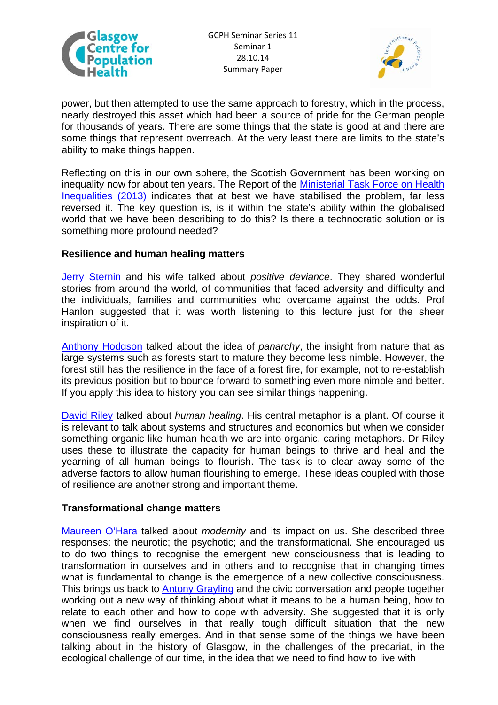



power, but then attempted to use the same approach to forestry, which in the process, nearly destroyed this asset which had been a source of pride for the German people for thousands of years. There are some things that the state is good at and there are some things that represent overreach. At the very least there are limits to the state's ability to make things happen.

Reflecting on this in our own sphere, the Scottish Government has been working on inequality now for about ten years. The Report of the [Ministerial Task Force on Health](http://www.scotland.gov.uk/Publications/2014/03/2561/downloads)  [Inequalities \(2013\)](http://www.scotland.gov.uk/Publications/2014/03/2561/downloads) indicates that at best we have stabilised the problem, far less reversed it. The key question is, is it within the state's ability within the globalised world that we have been describing to do this? Is there a technocratic solution or is something more profound needed?

#### **Resilience and human healing matters**

[Jerry Sternin](http://www.gcph.co.uk/events/30) and his wife talked about *positive deviance*. They shared wonderful stories from around the world, of communities that faced adversity and difficulty and the individuals, families and communities who overcame against the odds. Prof Hanlon suggested that it was worth listening to this lecture just for the sheer inspiration of it.

[Anthony Hodgson](http://www.gcph.co.uk/events/103) talked about the idea of *panarchy*, the insight from nature that as large systems such as forests start to mature they become less nimble. However, the forest still has the resilience in the face of a forest fire, for example, not to re-establish its previous position but to bounce forward to something even more nimble and better. If you apply this idea to history you can see similar things happening.

[David Riley](http://www.gcph.co.uk/events/125) talked about *human healing*. His central metaphor is a plant. Of course it is relevant to talk about systems and structures and economics but when we consider something organic like human health we are into organic, caring metaphors. Dr Riley uses these to illustrate the capacity for human beings to thrive and heal and the yearning of all human beings to flourish. The task is to clear away some of the adverse factors to allow human flourishing to emerge. These ideas coupled with those of resilience are another strong and important theme.

#### **Transformational change matters**

[Maureen O'Hara](http://www.gcph.co.uk/events/43) talked about *modernity* and its impact on us. She described three responses: the neurotic; the psychotic; and the transformational. She encouraged us to do two things to recognise the emergent new consciousness that is leading to transformation in ourselves and in others and to recognise that in changing times what is fundamental to change is the emergence of a new collective consciousness. This brings us back to [Antony Grayling](http://www.gcph.co.uk/events/18) and the civic conversation and people together working out a new way of thinking about what it means to be a human being, how to relate to each other and how to cope with adversity. She suggested that it is only when we find ourselves in that really tough difficult situation that the new consciousness really emerges. And in that sense some of the things we have been talking about in the history of Glasgow, in the challenges of the precariat, in the ecological challenge of our time, in the idea that we need to find how to live with